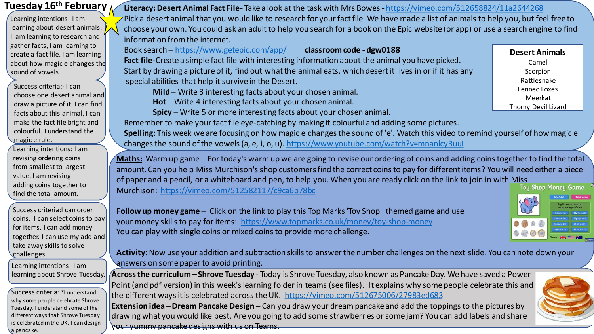| Tuesday 16 <sup>th</sup> February        | Literacy: Desert Animal Fact File-Take a look at the task with Mrs Bowes - https://vimeo.com/512658824/11a2644268                     |                       |
|------------------------------------------|---------------------------------------------------------------------------------------------------------------------------------------|-----------------------|
| Learning intentions: I am                | Pick a desert animal that you would like to research for your fact file. We have made a list of animals to help you, but feel free to |                       |
| learning about desert animals.           | choose your own. You could ask an adult to help you search for a book on the Epic website (or app) or use a search engine to find     |                       |
| I am learning to research and            | information from the internet.                                                                                                        |                       |
| gather facts, I am learning to           | Book search - https://www.getepic.com/app/<br>classroom code - dgw0188                                                                |                       |
| create a fact file. I am learning        |                                                                                                                                       | <b>Desert Animals</b> |
| about how magic e changes the            | Fact file-Create a simple fact file with interesting information about the animal you have picked.                                    | Camel                 |
| sound of vowels.                         | Start by drawing a picture of it, find out what the animal eats, which desert it lives in or if it has any                            | Scorpion              |
|                                          | special abilities that help it survive in the Desert.                                                                                 | Rattlesnake           |
| Success criteria:- I can                 | Mild - Write 3 interesting facts about your chosen animal.                                                                            | <b>Fennec Foxes</b>   |
| choose one desert animal and             |                                                                                                                                       | Meerkat               |
| draw a picture of it. I can find $\vert$ | Hot - Write 4 interesting facts about your chosen animal.                                                                             | Thorny Devil Lizard   |
| facts about this animal, I can           | <b>Spicy</b> – Write 5 or more interesting facts about your chosen animal.                                                            |                       |

**Spice 5 or more interesting facts about your chosen animal.** 

Remember to make your fact file eye-catching by making it colourful and adding some pictures.

**Spelling:** This week we are focusing on how magic e changes the sound of 'e'. Watch this video to remind yourself of how magic e changes the sound of the vowels (a, e, i, o, u). <https://www.youtube.com/watch?v=mnanlcyRuuI>

**Maths:** Warm up game – For today's warm up we are going to revise our ordering of coins and adding coins together to find the total amount. Can you help Miss Murchison's shop customers find the correct coins to pay for different items? You will need either a piece of paper and a pencil, or a whiteboard and pen, to help you. When you are ready click on the link to join in with Miss<br>Murchison: https://vimes.com/E13E92117/e0ce6b79be Murchison: <https://vimeo.com/512582117/c9ca6b78bc>

**Follow up money game** – Click on the link to play this Top Marks 'Toy Shop' themed game and use your money skills to pay for items: <https://www.topmarks.co.uk/money/toy-shop-money> You can play with single coins or mixed coins to provide more challenge.

**Activity:**Now use your addition and subtraction skills to answer the number challenges on the next slide. You can note down your answers on some paper to avoid printing.

**Across the curriculum – Shrove Tuesday** - Today is Shrove Tuesday, also known as Pancake Day. We have saved a Power Point (and pdf version) in this week's learning folder in teams (see files). It explains why some people celebrate this and the different ways it is celebrated across the UK. <https://vimeo.com/512675006/27983ed683>

**Extension idea –Dream Pancake Design –** Can you draw your dream pancake and add the toppings to the pictures by drawing what you would like best. Are you going to add some strawberries or some jam? You can add labels and share your yummy pancake designs with us on Teams.

coins. I can select coins to pay together. I can use my add and

Learning intentions: I am learning about Shrove Tuesday.

make the fact file bright and colourful. I understand the

Learning intentions: I am revising ordering coins from smallest to largest value. I am revising adding coins together to find the total amount.

Success criteria:I can order

for items. I can add money

take away skills to solve

challenges.

magic e rule.

Success criteria: \*I understand why some people celebrate Shrove Tuesday. I understand some of the different ways that Shrove Tuesday is celebrated in the UK. I can design a pancake.